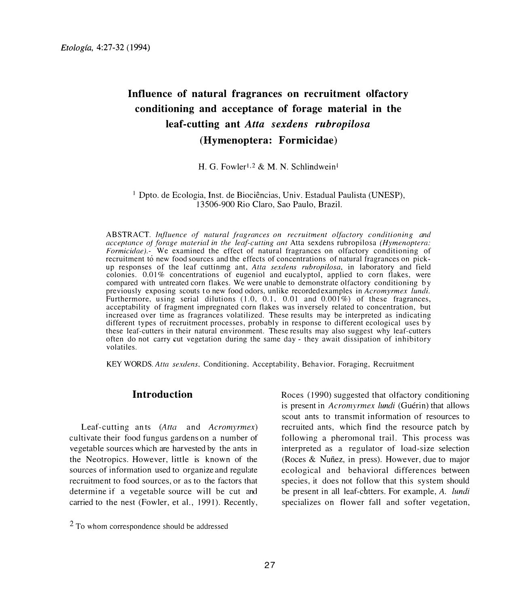# **Influence of natural fragrances on recruitment olfactory conditioning and acceptance of forage material in the leaf-cutting ant** *Atta sexdens rubropilosa*  **(Hymenoptera: Formicidae)**

H. G. Fowler<sup>1,2</sup> & M. N. Schlindwein<sup>1</sup>

<sup>1</sup> Dpto. de Ecologia, Inst. de Biociências, Univ. Estadual Paulista (UNESP), 13506-900 Rio Claro, Sao Paulo, Brazil.

ABSTRACT. *Influence of natural fragrances on recruitment olfactory conditioning and acceptance o forage material in the leaf-cutting ant* Atta sexdens rubropilosa *(Hymenoptera: Formicidae).-* We examined the effect of natural fragrances on olfactory conditioning of recruitment to new food sources and the effects of concentrations of natural fragrances on pickup responses of the leaf cuttinmg ant. *Atta sexdens rubropilosa,* in laboratory and field colonies. 0.01 % concentrations of eugeniol and eucalyptol, applied to corn flakes, were compared with untreated corn flakes. We were unable to demonstrate olfactory conditioning by previously exposing scouts to new food odors, unlike recorded examples in *Acromyrmex Lundi.* Furthermore, using serial dilutions  $(1.0, 0.1, 0.01,$  and  $0.001\%)$  of these fragrances, acceptability of fragment impregnated corn flakes was inversely related to concentration, but increased over time as fragrances volatilized. These results may be interpreted as indicating different types of recruitment processes, probably in response to different ecological uses by these leaf-cutters in their natural environment. These results may also suggest why leaf-cutters often do not carry cut vegetation during the same day - they await dissipation of inhibitory volatiles.

KEY WORDS. *Atta sexdens,* Conditioning. Acceptability, Behavior. Foraging, Recruitment

## **Introduction**

Leaf-cutting an ts *(Atta* and *Acromyrmex)* cultivate their food fungus gardens on a number of vegetable sources which are harvested by the ants in the Neotropics. However, little is known of the sources of information used to organize and regulate recruitment to food sources, or as to the factors that determine if a vegetable source will be cut and carried to the nest (Fowler, et al., 1991). Recently,

Roces ( 1990) suggested that olfactory conditioning is present in *Acromyrmex lundi* (Guérin) that allows scout ants to transmit information of resources to recruited ants, which find the resource patch by following a pheromonal trail. This process was interpreted as a regulator of load-size selection (Roces  $&$  Nunez, in press). However, due to major ecological and behavioral differences between species, it does not follow that this system should be present in all leaf-cbtters. For example, *A. lundi* specializes on flower fall and softer vegetation,

<sup>2</sup> To whom correspondence should be addressed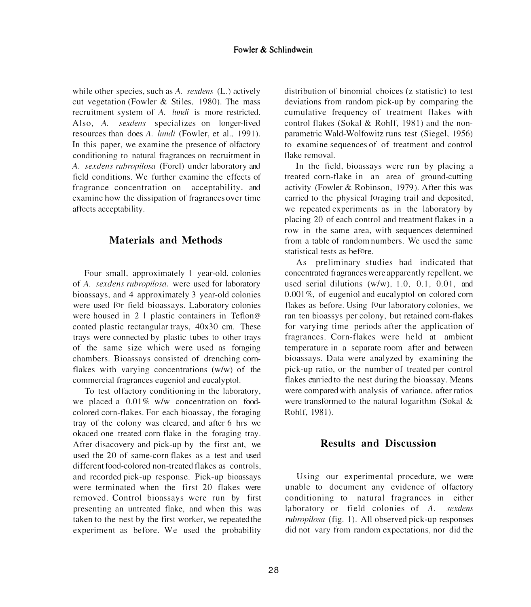while other species, such as *A. sexdens* (L.) actively cut vegetation (Fowler & Stiles, 1980). The mass recruitment system of *A. lundi* is more restricted. Also, *A. sexdens* specializes on longer-lived resources than does *A. lundi* (Fowler, et al., 1991). In this paper, we examine the presence of olfactory conditioning to natural f r agrances on recruitment in *A. sexdens rubropilosa* (Fore!) under laboratory and field conditions. We further examine the effects of fragrance concentration on acceptability, and examine how the dissipation of f r agrances over time affects acceptability.

# **Materials and Methods**

Four small, approximately 1 year-old, colonies of *A. sexdens rubropilosa*, were used for laboratory bioassays. and 4 approximately 3 year-old colonies were used for field bioassays. Laboratory colonies were housed in 2 J plastic containers in Teflon@ coated plastic rectangular trays, 40x30 cm. These trays were connected by plastic tubes to other trays of the same size which were used as foraging chambers. Bioassays consisted of drenching cornflakes with varying concentrations (w/w) of the commercial fragrances eugeniol and eucalyptol.

To test olfactory conditioning in the laboratory, we placed a  $0.01\%$  w/w concentration on foodcolored corn-flakes. For each bioassay, the foraging tray of the colony was cleared, and after 6 hrs we okaced one treated corn flake in the foraging tray. After disacovery and pick-up by the first ant, we used the 20 of same-corn flakes as a test and used different food-colored non-treated flakes as controls, and recorded pick-up response. Pick-up bioassays were terminated when the first 20 flakes were removed. Control bioassays were run by first presenting an untreated flake, and when this was taken to the nest by the first worker, we repeated the experiment as before. We used the probability

distribution of binomial choices (z statistic) to test deviations from random pick-up by comparing the cumulative frequency of treatment flakes with control flakes (Sokal & Rohlf, 1981) and the nonparametric Wald-Wolfowitz runs test (Siegel. 1956) to examine sequences of of treatment and control flake removal.

In the field, bioassays were run by placing a treated com-flake in an area of ground-cutting activity (Fowler & Robinson, 1979 *).* After this was carried to the physical foraging trail and deposited, we repeated experiments as in the laboratory by placing 20 of each control and treatment flakes in a row in the same area, with sequences determined from a table of random numbers. We used the same statistical tests as before.

As preliminary studies had indicated that concentrated fragrances were apparently repellent, we used serial dilutions  $(w/w)$ , 1.0, 0.1, 0.01, and  $0.001\%$ , of eugeniol and eucalyptol on colored corn flakes as before. Using four laboratory colonies, we ran ten bioassys per colony. but retained corn-flakes for varying time periods after the application of fragrances. Corn-flakes were held at ambient temperature in a separate room after and between bioassays. Data were analyzed by examining the pick-up ratio, or the number of treated per control flakes carried to the nest during the bioassay. Means were compared with analysis of variance. after ratios were transformed to the natural logarithm (Sokal & Rohlf, 1981).

# **Results and Discussion**

Using our experimental procedure, we were unable to document any evidence of olfactory conditioning to natural fragrances in either laboratory or field colonies of *A. sexdens* rubropilosa (fig. 1). All observed pick-up responses did not vary from random expectations, nor did the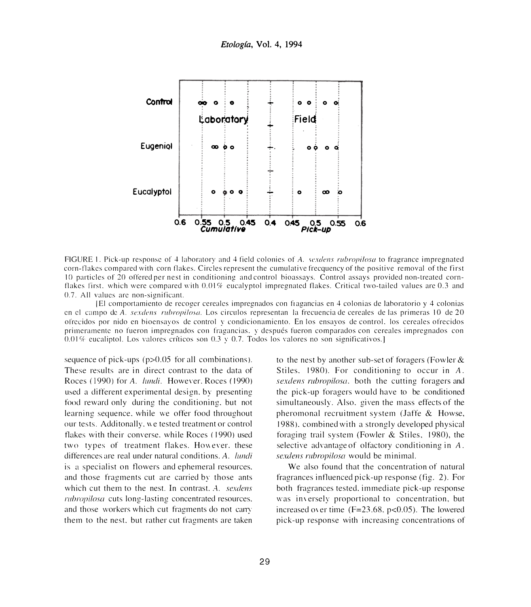

FIGURE 1. Pick-up response of 4 laboratory and 4 field colonies of A. sexdens rubropilosa to fragrance impregnated corn-flakes compared with corn flakes. Circles represent the cumulative free quency of the positive removal of the first 10 particles of 20 offered per nest in conditioning and control bioassays. Control assays provided non-treated cornflakes first, which were compared with 0.01% eucalyptol impregnated flakes. Critical two-tailed values are 0.3 and 0.7. All values are non-significant.

[El comportamiento de recoger cereales impregnados con fragancias en 4 colonias de laboratorio y 4 colonias en el campo de A. sexdens rubropilosa. Los circulos representan la frecuencia de cereales de las primeras 10 de 20 ofrecidos por nido en bioensavos de control y condicionamiento. En los ensayos de control, los cereales ofrecidos primeramente no fueron impregnados con fragancias. y después fueron comparados con cereales impregnados con  $0.01\%$  eucaliptol. Los valores críticos son 0.3 y 0.7. Todos los valores no son significativos.]

sequence of pick-ups  $(p>0.05$  for all combinations). These results are in direct contrast to the data of Roces (1990) for A. lundi. However, Roces (1990) used a different experimental design, by presenting food reward only during the conditioning, but not learning sequence, while we offer food throughout our tests. Additonally, we tested treatment or control flakes with their converse, while Roces (1990) used two types of treatment flakes. However, these differences are real under natural conditions. A. lundi is a specialist on flowers and ephemeral resources. and those fragments cut are carried by those ants which cut them to the nest. In contrast, A. sexdens *rubropilosa* cuts long-lasting concentrated resources. and those workers which cut fragments do not carry them to the nest, but rather cut fragments are taken to the nest by another sub-set of foragers (Fowler  $\&$ Stiles. 1980). For conditioning to occur in A. sexdens rubropilosa, both the cutting foragers and the pick-up foragers would have to be conditioned simultaneously. Also, given the mass effects of the pheromonal recruitment system (Jaffe & Howse, 1988), combined with a strongly developed physical foraging trail system (Fowler  $&$  Stiles, 1980), the selective advantage of olfactory conditioning in A. sexdens rubropilosa would be minimal.

We also found that the concentration of natural fragrances influenced pick-up response (fig. 2). For both fragrances tested, immediate pick-up response was inversely proportional to concentration, but increased over time ( $F=23.68$ ,  $p<0.05$ ). The lowered pick-up response with increasing concentrations of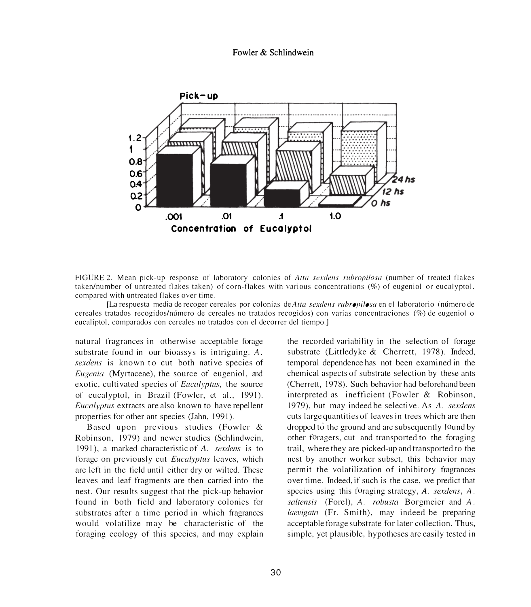#### **Fowler & Schlindwein**



FIGURE 2. Mean pick-up response of laboratory colonies of Atta sexdens rubropilosa (number of treated flakes taken/number of untreated flakes taken) of corn-flakes with various concentrations (%) of eugeniol or eucalyptol. compared with untreated flakes over time.

[La respuesta media de recoger cereales por colonias de *Atta sexdens rubropilosa* en el laboratorio (número de cereales tratados recogidos/número de cereales no tratados recogidos) con varias concentraciones (%) de eugeniol o eucaliptol, comparados con cereales no tratados con el decorrer del tiempo.]

natural fragrances in otherwise acceptable forage substrate found in our bioassys is intriguing. A. *sexdens* is known to cut both native species of *Eugenia* (Myrtaceae), the source of eugeniol, and exotic, cultivated species of *Eucalyptus*, the source of eucalyptol, in Brazil (Fowler, et al., 1991). Eucolyptus extracts are also known to have repellent properties for other ant species (Jahn, 1991).

Based upon previous studies (Fowler & Robinson, 1979) and newer studies (Schlindwein, 1991 ), a marked characteristic of *A. sexdens* is to forage on previously cut Eucalyptus leaves, which are left in the field until either dry or wilted. These leaves and leaf fragments are then carried into the nest. Our results suggest that the pick-up behavior found in both field and laboratory colonies for substrates after a time period in which fragrances would volatilize may be characteristic of the foraging ecology of this species, and may explain

the recorded variability in the selection of forage substrate (Littledyke & Cherrett, 1978). Indeed, temporal dependence has not been examined in the chemical aspects of substrate selection by these ants (Cherrett, 1978). Such behavior had beforehand been interpreted as inefficient (Fowler & Robinson, 1979), but may indeed be selective. As A. sexdens cuts large quantities of leaves in trees which are then dropped to the ground and are subsequently found by other foragers, cut and transported to the foraging trail, where they are picked-up and transported to the nest by another worker subset, this behavior may permit the volatilization of inhibitory fragrances over time. Indeed, if such is the case, we predict that species using this foraging strategy, *A. sexdens, A.* soltensis (Fore!), A. *robusta* Borgmeier and A. laevigata (Fr. Smith), may indeed be preparing acceptable forage substrate for later collection. Thus, simple, yet plausible, hypotheses are easily tested in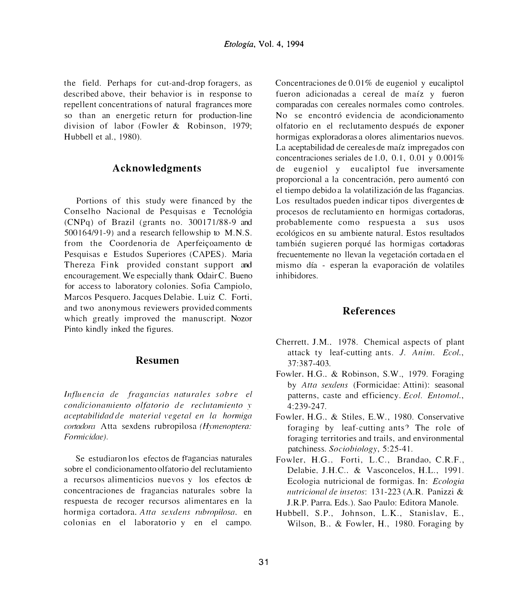the field. Perhaps for cut-and-drop foragers, as described above, their behavior is in response to repellent concentrations of natural fragrances more so than an energetic return for production-line division of labor (Fowler & Robinson, 1979; Hubbell et al., 1980).

### **Acknowledgments**

Portions of this study were financed by the Conselho Nacional de Pesquisas e Tecnol6gia (CNPq) of Brazil (grants no. 300171/88-9 and 500164/91-9) and a research fellowship to M.N.S. from the Coordenoria de Aperfeiçoamento de Pesquisas e Estudos Superiores (CAPES). Maria Thereza Fink provided constant support and encouragement. We especially thank OdairC. Bueno for access to laboratory colonies. Sofia Campiolo, Marcos Pesquero. Jacques Delabie. Luiz C. Forti, and two anonymous reviewers provided comments which greatly improved the manuscript. Nozor Pinto kindly inked the figures.

#### **Resumen**

*lnfluencia de fragancias naturales sobre el co11dicio11amie11to o(fotorio de reclutamiento* r *oceptabilidacl de mc1teriol \'egetol en lo hormiga cmtadora* Atta sexdens rubropilosa *(H\_rn1e11optcm: Formicidae ).* 

Se estudiaron los efectos de fragancias naturales sobre el condicionamento olfatorio del reclutamiento a recursos alimenticios nuevos y los efectos de concentraciones de fragancias naturales sobre la respuesta de recoger recursos alimentares en la hormiga cortadora. *Atta sexclens rubmpiloso.* en colonias en el laboratorio y en el campo.

Concentraciones de 0.01% de eugeniol y eucaliptol fueron adicionadas a cereal de maíz y fueron comparadas con cereales normales como controles. No se encontró evidencia de acondicionamento olfatorio en el reclutamento después de exponer hormigas exploradoras a olores alirnentarios nuevos. La aceptabilidad de cereales de maíz impregados con concentraciones seriales de 1.0, 0.1, 0.01 y  $0.001\%$ de eugeniol y eucaliptol fue inversamente proporcional a la concentración, pero aumentó con el tiempo debido a la volatilizaci6n de las fragancias. Los resultados pueden indicar tipos divergentes de procesos de reclutamiento en hormigas cortadoras, probablernente como respuesta a sus usos ecol6gicos en su am biente natural. Estos resultados también sugieren porqué las hormigas cortadoras frecuentemente no llevan la vegetación cortada en el mismo día - esperan la evaporación de volatiles inhibidores.

## **References**

- Cherrett. J.M.. 1978. Chemical aspects of plant attack ty leaf-cutting ants. *J. Anim. Ecol.,*  37:387-403.
- Fowler. H.G.. & Robinson, S.W., 1979. Foraging by *Atta sexdens* (Formicidae: Attini): seasonal patterns, caste and efficiency. *Ecol. Entomol.*, 4:239-247.
- Fowler. H.G .. & Stiles, E.W., 1980. Conservative foraging by leaf-cutting ants? The role of foraging territories and trails, and environmental patchiness. *Sociobiology,* 5:25-41.
- Fowler, H.G., Forti, L.C., Brandao, C.R.F., Delabie. J.H.C.. & Vasconcelos, H.L., 1991. Ecologia nutricional de formigas. In: *Ecologia nlltricionol de insctos:* 131-223 (A.R. Panizzi & J.R.P. Parra, Eds.). Sao Paulo: Editora Manole.
- Hubbell. S.P., Johnson, L.K., Stanislav, E., Wilson, B., & Fowler, H., 1980. Foraging by